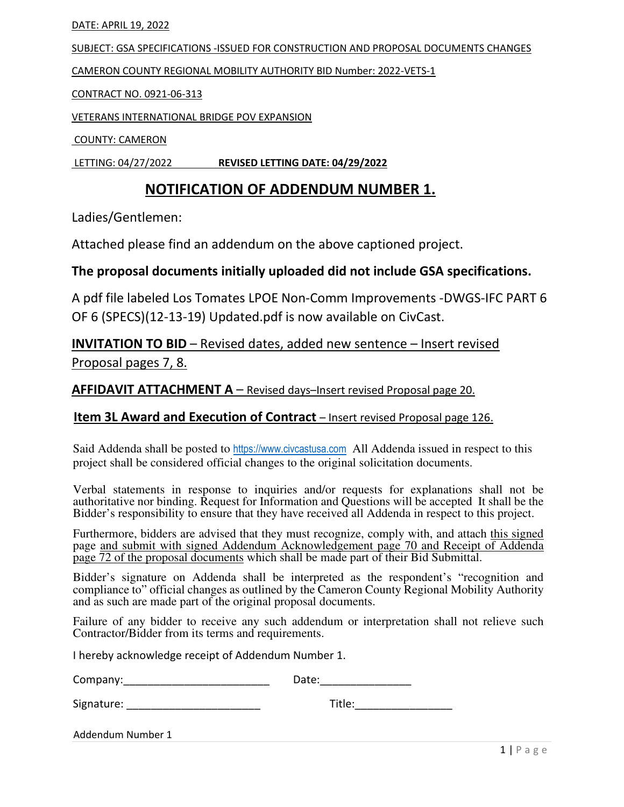#### DATE: APRIL 19, 2022

SUBJECT: GSA SPECIFICATIONS -ISSUED FOR CONSTRUCTION AND PROPOSAL DOCUMENTS CHANGES

CAMERON COUNTY REGIONAL MOBILITY AUTHORITY BID Number: 2022-VETS-1

CONTRACT NO. 0921-06-313

VETERANS INTERNATIONAL BRIDGE POV EXPANSION

COUNTY: CAMERON

LETTING: 04/27/2022 REVISED LETTING DATE: 04/29/2022

# NOTIFICATION OF ADDENDUM NUMBER 1.

Ladies/Gentlemen:

Attached please find an addendum on the above captioned project.

#### The proposal documents initially uploaded did not include GSA specifications.

A pdf file labeled Los Tomates LPOE Non-Comm Improvements -DWGS-IFC PART 6 OF 6 (SPECS)(12-13-19) Updated.pdf is now available on CivCast.

INVITATION TO BID – Revised dates, added new sentence – Insert revised Proposal pages 7, 8.

AFFIDAVIT ATTACHMENT A - Revised days-Insert revised Proposal page 20.

### Item 3L Award and Execution of Contract – Insert revised Proposal page 126.

Said Addenda shall be posted to https://www.civcastusa.com All Addenda issued in respect to this project shall be considered official changes to the original solicitation documents.

Verbal statements in response to inquiries and/or requests for explanations shall not be authoritative nor binding. Request for Information and Questions will be accepted It shall be the Bidder's responsibility to ensure that they have received all Addenda in respect to this project.

Furthermore, bidders are advised that they must recognize, comply with, and attach this signed page and submit with signed Addendum Acknowledgement page 70 and Receipt of Addenda page 72 of the proposal documents which shall be made part of their Bid Submittal.

Bidder's signature on Addenda shall be interpreted as the respondent's "recognition and compliance to" official changes as outlined by the Cameron County Regional Mobility Authority and as such are made part of the original proposal documents.

Failure of any bidder to receive any such addendum or interpretation shall not relieve such Contractor/Bidder from its terms and requirements.

I hereby acknowledge receipt of Addendum Number 1.

| Company: | Date: |  |
|----------|-------|--|
|          |       |  |
|          | __    |  |

Signature: \_\_\_\_\_\_\_\_\_\_\_\_\_\_\_\_\_\_\_\_\_\_ Title:\_\_\_\_\_\_\_\_\_\_\_\_\_\_\_\_

Addendum Number 1